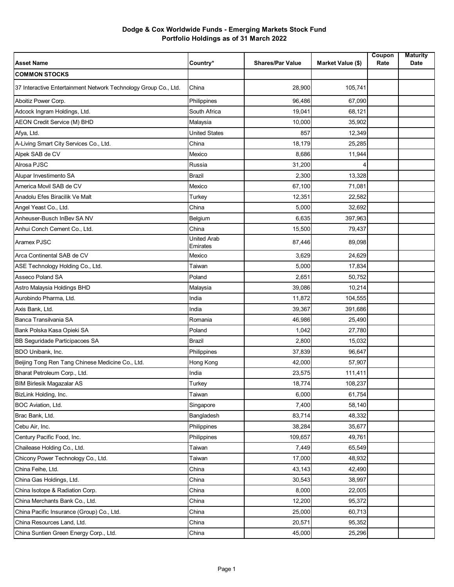| <b>Asset Name</b>                                               | Country*                       | <b>Shares/Par Value</b> | Market Value (\$) | Coupon<br>Rate | <b>Maturity</b><br>Date |
|-----------------------------------------------------------------|--------------------------------|-------------------------|-------------------|----------------|-------------------------|
| <b>COMMON STOCKS</b>                                            |                                |                         |                   |                |                         |
| 37 Interactive Entertainment Network Technology Group Co., Ltd. | China                          | 28,900                  | 105,741           |                |                         |
| Aboitiz Power Corp.                                             | Philippines                    | 96,486                  | 67,090            |                |                         |
| Adcock Ingram Holdings, Ltd.                                    | South Africa                   | 19,041                  | 68,121            |                |                         |
| AEON Credit Service (M) BHD                                     | Malaysia                       | 10,000                  | 35,902            |                |                         |
| Afya, Ltd.                                                      | <b>United States</b>           | 857                     | 12,349            |                |                         |
| A-Living Smart City Services Co., Ltd.                          | China                          | 18,179                  | 25,285            |                |                         |
| Alpek SAB de CV                                                 | Mexico                         | 8,686                   | 11,944            |                |                         |
| Alrosa PJSC                                                     | Russia                         | 31,200                  | 4                 |                |                         |
| Alupar Investimento SA                                          | Brazil                         | 2,300                   | 13,328            |                |                         |
| America Movil SAB de CV                                         | Mexico                         | 67,100                  | 71,081            |                |                         |
| Anadolu Efes Biracilik Ve Malt                                  | Turkey                         | 12,351                  | 22,582            |                |                         |
| Angel Yeast Co., Ltd.                                           | China                          | 5,000                   | 32,692            |                |                         |
| Anheuser-Busch InBev SA NV                                      | Belgium                        | 6,635                   | 397,963           |                |                         |
| Anhui Conch Cement Co., Ltd.                                    | China                          | 15,500                  | 79,437            |                |                         |
| Aramex PJSC                                                     | <b>United Arab</b><br>Emirates | 87,446                  | 89,098            |                |                         |
| Arca Continental SAB de CV                                      | Mexico                         | 3,629                   | 24,629            |                |                         |
| ASE Technology Holding Co., Ltd.                                | Taiwan                         | 5,000                   | 17,834            |                |                         |
| Asseco Poland SA                                                | Poland                         | 2,651                   | 50,752            |                |                         |
| Astro Malaysia Holdings BHD                                     | Malaysia                       | 39,086                  | 10,214            |                |                         |
| Aurobindo Pharma, Ltd.                                          | India                          | 11,872                  | 104,555           |                |                         |
| Axis Bank, Ltd.                                                 | India                          | 39,367                  | 391,686           |                |                         |
| Banca Transilvania SA                                           | Romania                        | 46,986                  | 25,490            |                |                         |
| Bank Polska Kasa Opieki SA                                      | Poland                         | 1,042                   | 27,780            |                |                         |
| BB Seguridade Participacoes SA                                  | Brazil                         | 2,800                   | 15,032            |                |                         |
| BDO Unibank, Inc.                                               | Philippines                    | 37,839                  | 96,647            |                |                         |
| Beijing Tong Ren Tang Chinese Medicine Co., Ltd.                | Hong Kong                      | 42,000                  | 57,907            |                |                         |
| Bharat Petroleum Corp., Ltd.                                    | India                          | 23,575                  | 111,411           |                |                         |
| <b>BIM Birlesik Magazalar AS</b>                                | Turkey                         | 18,774                  | 108,237           |                |                         |
| BizLink Holding, Inc.                                           | Taiwan                         | 6,000                   | 61,754            |                |                         |
| BOC Aviation, Ltd.                                              | Singapore                      | 7,400                   | 58,140            |                |                         |
| Brac Bank, Ltd.                                                 | Bangladesh                     | 83,714                  | 48,332            |                |                         |
| Cebu Air, Inc.                                                  | Philippines                    | 38,284                  | 35,677            |                |                         |
| Century Pacific Food, Inc.                                      | Philippines                    | 109,657                 | 49,761            |                |                         |
| Chailease Holding Co., Ltd.                                     | Taiwan                         | 7,449                   | 65,549            |                |                         |
| Chicony Power Technology Co., Ltd.                              | Taiwan                         | 17,000                  | 48,932            |                |                         |
| China Feihe, Ltd.                                               | China                          | 43,143                  | 42,490            |                |                         |
| China Gas Holdings, Ltd.                                        | China                          | 30,543                  | 38,997            |                |                         |
| China Isotope & Radiation Corp.                                 | China                          | 8,000                   | 22,005            |                |                         |
| China Merchants Bank Co., Ltd.                                  | China                          | 12,200                  | 95,372            |                |                         |
| China Pacific Insurance (Group) Co., Ltd.                       | China                          | 25,000                  | 60,713            |                |                         |
| China Resources Land, Ltd.                                      | China                          | 20,571                  | 95,352            |                |                         |
| China Suntien Green Energy Corp., Ltd.                          | China                          | 45,000                  | 25,296            |                |                         |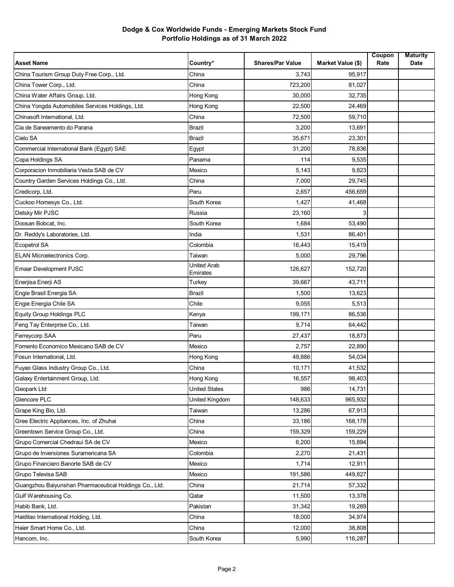| <b>Asset Name</b>                                      | Country*                | <b>Shares/Par Value</b> | <b>Market Value (\$)</b> | Coupon<br>Rate | <b>Maturity</b><br>Date |
|--------------------------------------------------------|-------------------------|-------------------------|--------------------------|----------------|-------------------------|
| China Tourism Group Duty Free Corp., Ltd.              | China                   | 3,743                   | 95,917                   |                |                         |
| China Tower Corp., Ltd.                                | China                   | 723,200                 | 81,027                   |                |                         |
| China Water Affairs Group, Ltd.                        | Hong Kong               | 30,000                  | 32,735                   |                |                         |
| China Yongda Automobiles Services Holdings, Ltd.       | Hong Kong               | 22,500                  | 24,469                   |                |                         |
| Chinasoft International, Ltd.                          | China                   | 72,500                  | 59,710                   |                |                         |
| Cia de Saneamento do Parana                            | Brazil                  | 3,200                   | 13,691                   |                |                         |
| Cielo SA                                               | <b>Brazil</b>           | 35,671                  | 23,301                   |                |                         |
| Commercial International Bank (Egypt) SAE              | Egypt                   | 31,200                  | 78,836                   |                |                         |
| Copa Holdings SA                                       | Panama                  | 114                     | 9,535                    |                |                         |
| Corporacion Inmobiliaria Vesta SAB de CV               | Mexico                  | 5,143                   | 9,823                    |                |                         |
| Country Garden Services Holdings Co., Ltd.             | China                   | 7,000                   | 29,745                   |                |                         |
| Credicorp, Ltd.                                        | Peru                    | 2,657                   | 456,659                  |                |                         |
| Cuckoo Homesys Co., Ltd.                               | South Korea             | 1,427                   | 41,468                   |                |                         |
| Detsky Mir PJSC                                        | Russia                  | 23,160                  | 3                        |                |                         |
| Doosan Bobcat, Inc.                                    | South Korea             | 1,684                   | 53,490                   |                |                         |
| Dr. Reddy's Laboratories, Ltd.                         | India                   | 1,531                   | 86,401                   |                |                         |
| Ecopetrol SA                                           | Colombia                | 16,443                  | 15,419                   |                |                         |
| <b>ELAN Microelectronics Corp.</b>                     | Taiwan                  | 5,000                   | 29,796                   |                |                         |
| <b>Emaar Development PJSC</b>                          | United Arab<br>Emirates | 126,627                 | 152,720                  |                |                         |
| Enerjisa Enerji AS                                     | Turkey                  | 39,667                  | 43,711                   |                |                         |
| Engie Brasil Energia SA                                | <b>Brazil</b>           | 1,500                   | 13,623                   |                |                         |
| Engie Energia Chile SA                                 | Chile                   | 9,055                   | 5,513                    |                |                         |
| <b>Equity Group Holdings PLC</b>                       | Kenya                   | 199,171                 | 86,536                   |                |                         |
| Feng Tay Enterprise Co., Ltd.                          | Taiwan                  | 9,714                   | 64,442                   |                |                         |
| Ferreycorp SAA                                         | Peru                    | 27,437                  | 18,873                   |                |                         |
| Fomento Economico Mexicano SAB de CV                   | Mexico                  | 2,757                   | 22,890                   |                |                         |
| Fosun International, Ltd.                              | Hong Kong               | 49,886                  | 54,034                   |                |                         |
| Fuyao Glass Industry Group Co., Ltd.                   | China                   | 10,171                  | 41,532                   |                |                         |
| Galaxy Entertainment Group, Ltd.                       | Hong Kong               | 16,557                  | 98,403                   |                |                         |
| Geopark Ltd                                            | <b>United States</b>    | 986                     | 14,731                   |                |                         |
| Glencore PLC                                           | United Kingdom          | 148,633                 | 965,932                  |                |                         |
| Grape King Bio, Ltd.                                   | Taiwan                  | 13,286                  | 67,913                   |                |                         |
| Gree Electric Appliances, Inc. of Zhuhai               | China                   | 33,186                  | 168,178                  |                |                         |
| Greentown Service Group Co., Ltd.                      | China                   | 159,329                 | 159,229                  |                |                         |
| Grupo Comercial Chedraui SA de CV                      | Mexico                  | 6,200                   | 15,894                   |                |                         |
| Grupo de Inversiones Suramericana SA                   | Colombia                | 2,270                   | 21,431                   |                |                         |
| Grupo Financiero Banorte SAB de CV                     | Mexico                  | 1,714                   | 12,911                   |                |                         |
| Grupo Televisa SAB                                     | Mexico                  | 191,586                 | 449,827                  |                |                         |
| Guangzhou Baiyunshan Pharmaceutical Holdings Co., Ltd. | China                   | 21,714                  | 57,332                   |                |                         |
| Gulf Warehousing Co.                                   | Qatar                   | 11,500                  | 13,378                   |                |                         |
| Habib Bank, Ltd.                                       | Pakistan                | 31,342                  | 19,289                   |                |                         |
| Haidilao International Holding, Ltd.                   | China                   | 18,000                  | 34,974                   |                |                         |
| Haier Smart Home Co., Ltd.                             | China                   | 12,000                  | 38,808                   |                |                         |
| Hancom, Inc.                                           | South Korea             | 5,990                   | 116,287                  |                |                         |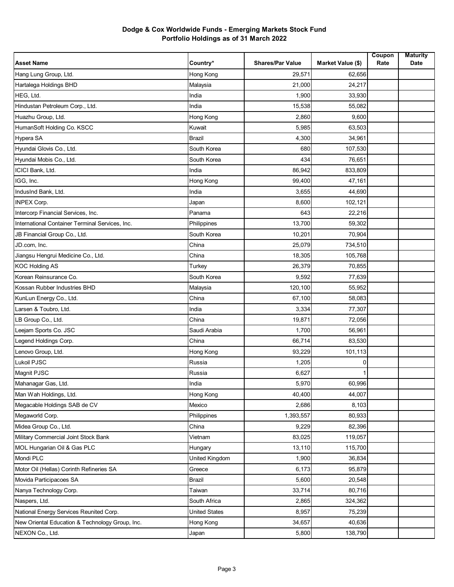| Hang Lung Group, Ltd.<br>Hong Kong<br>29,571<br>62,656<br>Hartalega Holdings BHD<br>21,000<br>24,217<br>Malaysia<br>HEG, Ltd.<br>India<br>1,900<br>33,930<br>Hindustan Petroleum Corp., Ltd.<br>15,538<br>55,082<br>India<br>Huazhu Group, Ltd.<br>Hong Kong<br>2,860<br>9,600<br>HumanSoft Holding Co. KSCC<br>5,985<br>Kuwait<br>63,503<br>Hypera SA<br><b>Brazil</b><br>4,300<br>34,961<br>Hyundai Glovis Co., Ltd.<br>South Korea<br>680<br>107,530<br>Hyundai Mobis Co., Ltd.<br>South Korea<br>434<br>76,651<br>ICICI Bank, Ltd.<br>833,809<br>India<br>86,942<br>IGG, Inc.<br>Hong Kong<br>99,400<br>47,161<br>IndusInd Bank, Ltd.<br>3,655<br>44,690<br>India<br>8,600<br><b>INPEX Corp.</b><br>102,121<br>Japan | <b>Asset Name</b> | Country* | <b>Shares/Par Value</b> | Market Value (\$) | Coupon<br>Rate | <b>Maturity</b><br>Date |
|--------------------------------------------------------------------------------------------------------------------------------------------------------------------------------------------------------------------------------------------------------------------------------------------------------------------------------------------------------------------------------------------------------------------------------------------------------------------------------------------------------------------------------------------------------------------------------------------------------------------------------------------------------------------------------------------------------------------------|-------------------|----------|-------------------------|-------------------|----------------|-------------------------|
|                                                                                                                                                                                                                                                                                                                                                                                                                                                                                                                                                                                                                                                                                                                          |                   |          |                         |                   |                |                         |
|                                                                                                                                                                                                                                                                                                                                                                                                                                                                                                                                                                                                                                                                                                                          |                   |          |                         |                   |                |                         |
|                                                                                                                                                                                                                                                                                                                                                                                                                                                                                                                                                                                                                                                                                                                          |                   |          |                         |                   |                |                         |
|                                                                                                                                                                                                                                                                                                                                                                                                                                                                                                                                                                                                                                                                                                                          |                   |          |                         |                   |                |                         |
|                                                                                                                                                                                                                                                                                                                                                                                                                                                                                                                                                                                                                                                                                                                          |                   |          |                         |                   |                |                         |
|                                                                                                                                                                                                                                                                                                                                                                                                                                                                                                                                                                                                                                                                                                                          |                   |          |                         |                   |                |                         |
|                                                                                                                                                                                                                                                                                                                                                                                                                                                                                                                                                                                                                                                                                                                          |                   |          |                         |                   |                |                         |
|                                                                                                                                                                                                                                                                                                                                                                                                                                                                                                                                                                                                                                                                                                                          |                   |          |                         |                   |                |                         |
|                                                                                                                                                                                                                                                                                                                                                                                                                                                                                                                                                                                                                                                                                                                          |                   |          |                         |                   |                |                         |
|                                                                                                                                                                                                                                                                                                                                                                                                                                                                                                                                                                                                                                                                                                                          |                   |          |                         |                   |                |                         |
|                                                                                                                                                                                                                                                                                                                                                                                                                                                                                                                                                                                                                                                                                                                          |                   |          |                         |                   |                |                         |
|                                                                                                                                                                                                                                                                                                                                                                                                                                                                                                                                                                                                                                                                                                                          |                   |          |                         |                   |                |                         |
|                                                                                                                                                                                                                                                                                                                                                                                                                                                                                                                                                                                                                                                                                                                          |                   |          |                         |                   |                |                         |
| Intercorp Financial Services, Inc.<br>643<br>22,216<br>Panama                                                                                                                                                                                                                                                                                                                                                                                                                                                                                                                                                                                                                                                            |                   |          |                         |                   |                |                         |
| International Container Terminal Services, Inc.<br>13,700<br>Philippines<br>59,302                                                                                                                                                                                                                                                                                                                                                                                                                                                                                                                                                                                                                                       |                   |          |                         |                   |                |                         |
| JB Financial Group Co., Ltd.<br>South Korea<br>10,201<br>70,904                                                                                                                                                                                                                                                                                                                                                                                                                                                                                                                                                                                                                                                          |                   |          |                         |                   |                |                         |
| 25,079<br>JD.com, Inc.<br>China<br>734,510                                                                                                                                                                                                                                                                                                                                                                                                                                                                                                                                                                                                                                                                               |                   |          |                         |                   |                |                         |
| Jiangsu Hengrui Medicine Co., Ltd.<br>China<br>18,305<br>105,768                                                                                                                                                                                                                                                                                                                                                                                                                                                                                                                                                                                                                                                         |                   |          |                         |                   |                |                         |
| <b>KOC Holding AS</b><br>26,379<br>70,855<br>Turkey                                                                                                                                                                                                                                                                                                                                                                                                                                                                                                                                                                                                                                                                      |                   |          |                         |                   |                |                         |
| Korean Reinsurance Co.<br>South Korea<br>9,592<br>77,639                                                                                                                                                                                                                                                                                                                                                                                                                                                                                                                                                                                                                                                                 |                   |          |                         |                   |                |                         |
| Kossan Rubber Industries BHD<br>120,100<br>55,952<br>Malaysia                                                                                                                                                                                                                                                                                                                                                                                                                                                                                                                                                                                                                                                            |                   |          |                         |                   |                |                         |
| KunLun Energy Co., Ltd.<br>China<br>67,100<br>58,083                                                                                                                                                                                                                                                                                                                                                                                                                                                                                                                                                                                                                                                                     |                   |          |                         |                   |                |                         |
| Larsen & Toubro, Ltd.<br>3,334<br>77,307<br>India                                                                                                                                                                                                                                                                                                                                                                                                                                                                                                                                                                                                                                                                        |                   |          |                         |                   |                |                         |
| LB Group Co., Ltd.<br>China<br>19,871<br>72,056                                                                                                                                                                                                                                                                                                                                                                                                                                                                                                                                                                                                                                                                          |                   |          |                         |                   |                |                         |
| Leejam Sports Co. JSC<br>Saudi Arabia<br>1,700<br>56,961                                                                                                                                                                                                                                                                                                                                                                                                                                                                                                                                                                                                                                                                 |                   |          |                         |                   |                |                         |
| Legend Holdings Corp.<br>China<br>66,714<br>83,530                                                                                                                                                                                                                                                                                                                                                                                                                                                                                                                                                                                                                                                                       |                   |          |                         |                   |                |                         |
| Lenovo Group, Ltd.<br>Hong Kong<br>93,229<br>101,113                                                                                                                                                                                                                                                                                                                                                                                                                                                                                                                                                                                                                                                                     |                   |          |                         |                   |                |                         |
| Lukoil PJSC<br>Russia<br>1,205<br>0                                                                                                                                                                                                                                                                                                                                                                                                                                                                                                                                                                                                                                                                                      |                   |          |                         |                   |                |                         |
| Magnit PJSC<br>6,627<br>Russia                                                                                                                                                                                                                                                                                                                                                                                                                                                                                                                                                                                                                                                                                           |                   |          |                         |                   |                |                         |
| 5,970<br>Mahanagar Gas, Ltd.<br>60,996<br>India                                                                                                                                                                                                                                                                                                                                                                                                                                                                                                                                                                                                                                                                          |                   |          |                         |                   |                |                         |
| Man Wah Holdings, Ltd.<br>Hong Kong<br>40,400<br>44,007                                                                                                                                                                                                                                                                                                                                                                                                                                                                                                                                                                                                                                                                  |                   |          |                         |                   |                |                         |
| Megacable Holdings SAB de CV<br>Mexico<br>2,686<br>8,103                                                                                                                                                                                                                                                                                                                                                                                                                                                                                                                                                                                                                                                                 |                   |          |                         |                   |                |                         |
| 1,393,557<br>80,933<br>Megaworld Corp.<br>Philippines                                                                                                                                                                                                                                                                                                                                                                                                                                                                                                                                                                                                                                                                    |                   |          |                         |                   |                |                         |
| Midea Group Co., Ltd.<br>9,229<br>82,396<br>China                                                                                                                                                                                                                                                                                                                                                                                                                                                                                                                                                                                                                                                                        |                   |          |                         |                   |                |                         |
| Military Commercial Joint Stock Bank<br>119,057<br>Vietnam<br>83,025                                                                                                                                                                                                                                                                                                                                                                                                                                                                                                                                                                                                                                                     |                   |          |                         |                   |                |                         |
| MOL Hungarian Oil & Gas PLC<br>13,110<br>115,700<br>Hungary                                                                                                                                                                                                                                                                                                                                                                                                                                                                                                                                                                                                                                                              |                   |          |                         |                   |                |                         |
| Mondi PLC<br>United Kingdom<br>1,900<br>36,834                                                                                                                                                                                                                                                                                                                                                                                                                                                                                                                                                                                                                                                                           |                   |          |                         |                   |                |                         |
| Motor Oil (Hellas) Corinth Refineries SA<br>6,173<br>95,879<br>Greece                                                                                                                                                                                                                                                                                                                                                                                                                                                                                                                                                                                                                                                    |                   |          |                         |                   |                |                         |
| Movida Participacoes SA<br>20,548<br>Brazil<br>5,600                                                                                                                                                                                                                                                                                                                                                                                                                                                                                                                                                                                                                                                                     |                   |          |                         |                   |                |                         |
| Nanya Technology Corp.<br>33,714<br>80,716<br>Taiwan                                                                                                                                                                                                                                                                                                                                                                                                                                                                                                                                                                                                                                                                     |                   |          |                         |                   |                |                         |
| Naspers, Ltd.<br>South Africa<br>2,865<br>324,362                                                                                                                                                                                                                                                                                                                                                                                                                                                                                                                                                                                                                                                                        |                   |          |                         |                   |                |                         |
| National Energy Services Reunited Corp.<br><b>United States</b><br>8,957<br>75,239                                                                                                                                                                                                                                                                                                                                                                                                                                                                                                                                                                                                                                       |                   |          |                         |                   |                |                         |
| 40,636<br>New Oriental Education & Technology Group, Inc.<br>Hong Kong<br>34,657                                                                                                                                                                                                                                                                                                                                                                                                                                                                                                                                                                                                                                         |                   |          |                         |                   |                |                         |
| NEXON Co., Ltd.<br>5,800<br>138,790<br>Japan                                                                                                                                                                                                                                                                                                                                                                                                                                                                                                                                                                                                                                                                             |                   |          |                         |                   |                |                         |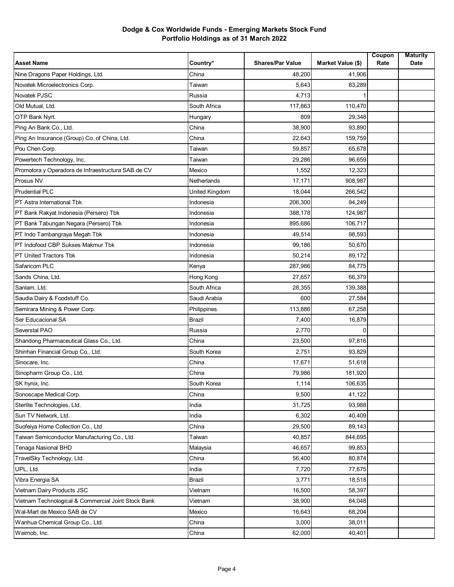| Nine Dragons Paper Holdings, Ltd.<br>China<br>48,200<br>41.906<br>Novatek Microelectronics Corp.<br>5,643<br>83,289<br>Taiwan<br>Novatek PJSC<br>4,713<br>Russia<br>Old Mutual, Ltd.<br>South Africa<br>117,863<br>110,470<br>OTP Bank Nyrt.<br>809<br>29,348<br>Hungary<br>Ping An Bank Co., Ltd.<br>China<br>38,900<br>93,890<br>Ping An Insurance (Group) Co. of China, Ltd.<br>China<br>22,643<br>159,759<br>Pou Chen Corp.<br>59,857<br>65,678<br>Taiwan<br>29,286<br>Powertech Technology, Inc.<br>96,659<br>Taiwan<br>Promotora y Operadora de Infraestructura SAB de CV<br>Mexico<br>1,552<br>12,323<br>Prosus NV<br>Netherlands<br>17,171<br>908,987<br><b>Prudential PLC</b><br>United Kingdom<br>18,044<br>266,542<br>PT Astra International Tbk<br>206,300<br>94,249<br>Indonesia<br>PT Bank Rakyat Indonesia (Persero) Tbk<br>388,178<br>124,987<br>Indonesia<br>PT Bank Tabungan Negara (Persero) Tbk<br>895.686<br>106.717<br>Indonesia<br>PT Indo Tambangraya Megah Tbk<br>49,514<br>98,593<br>Indonesia<br>PT Indofood CBP Sukses Makmur Tbk<br>99,186<br>50,670<br>Indonesia<br>PT United Tractors Tbk<br>50,214<br>89,172<br>Indonesia<br>Safaricom PLC<br>Kenya<br>287,986<br>84,775<br>Sands China, Ltd.<br>Hong Kong<br>27,657<br>66,379<br>Sanlam, Ltd.<br>South Africa<br>28,355<br>139,388<br>Saudia Dairy & Foodstuff Co.<br>Saudi Arabia<br>600<br>27,584<br>Semirara Mining & Power Corp.<br>113,886<br>67,258<br>Philippines<br>Ser Educacional SA<br>Brazil<br>16,879<br>7,400<br>Severstal PAO<br>Russia<br>2,770<br>0<br>Shandong Pharmaceutical Glass Co., Ltd.<br>China<br>23,500<br>97,816<br>Shinhan Financial Group Co., Ltd.<br>South Korea<br>2,751<br>93,829<br>Sinocare, Inc.<br>China<br>17,671<br>51,618<br>Sinopharm Group Co., Ltd.<br>China<br>79,986<br>181,920<br>SK hynix, Inc.<br>106,635<br>South Korea<br>1,114<br>Sonoscape Medical Corp.<br>China<br>9,500<br>41,122<br>Sterlite Technologies, Ltd.<br>31,725<br>93,988<br>India<br>6,302<br>Sun TV Network, Ltd.<br>India<br>40.409<br>Suofeiya Home Collection Co., Ltd<br>29,500<br>89,143<br>China<br>844,695<br>Taiwan Semiconductor Manufacturing Co., Ltd.<br>Taiwan<br>40,857<br><b>Tenaga Nasional BHD</b><br>46,657<br>99,853<br>Malaysia<br>56,400<br>80,874<br>TravelSky Technology, Ltd.<br>China<br>UPL, Ltd.<br>India<br>7,720<br>77,675<br>Vibra Energia SA<br>Brazil<br>3,771<br>18,518<br>Vietnam Dairy Products JSC<br>Vietnam<br>16,500<br>58,397<br>Vietnam Technological & Commercial Joint Stock Bank<br>Vietnam<br>38,900<br>84,048<br>Wal-Mart de Mexico SAB de CV<br>16,643<br>68,204<br>Mexico<br>China<br>Wanhua Chemical Group Co., Ltd.<br>3,000<br>38,011 | <b>Asset Name</b> | Country* | <b>Shares/Par Value</b> | Market Value (\$) | Coupon<br>Rate | <b>Maturity</b><br>Date |
|------------------------------------------------------------------------------------------------------------------------------------------------------------------------------------------------------------------------------------------------------------------------------------------------------------------------------------------------------------------------------------------------------------------------------------------------------------------------------------------------------------------------------------------------------------------------------------------------------------------------------------------------------------------------------------------------------------------------------------------------------------------------------------------------------------------------------------------------------------------------------------------------------------------------------------------------------------------------------------------------------------------------------------------------------------------------------------------------------------------------------------------------------------------------------------------------------------------------------------------------------------------------------------------------------------------------------------------------------------------------------------------------------------------------------------------------------------------------------------------------------------------------------------------------------------------------------------------------------------------------------------------------------------------------------------------------------------------------------------------------------------------------------------------------------------------------------------------------------------------------------------------------------------------------------------------------------------------------------------------------------------------------------------------------------------------------------------------------------------------------------------------------------------------------------------------------------------------------------------------------------------------------------------------------------------------------------------------------------------------------------------------------------------------------------------------------------------------------------------------------------------------------------------------------------------------------------------------------------------------------------------------------------------------------------------------------|-------------------|----------|-------------------------|-------------------|----------------|-------------------------|
|                                                                                                                                                                                                                                                                                                                                                                                                                                                                                                                                                                                                                                                                                                                                                                                                                                                                                                                                                                                                                                                                                                                                                                                                                                                                                                                                                                                                                                                                                                                                                                                                                                                                                                                                                                                                                                                                                                                                                                                                                                                                                                                                                                                                                                                                                                                                                                                                                                                                                                                                                                                                                                                                                                |                   |          |                         |                   |                |                         |
|                                                                                                                                                                                                                                                                                                                                                                                                                                                                                                                                                                                                                                                                                                                                                                                                                                                                                                                                                                                                                                                                                                                                                                                                                                                                                                                                                                                                                                                                                                                                                                                                                                                                                                                                                                                                                                                                                                                                                                                                                                                                                                                                                                                                                                                                                                                                                                                                                                                                                                                                                                                                                                                                                                |                   |          |                         |                   |                |                         |
|                                                                                                                                                                                                                                                                                                                                                                                                                                                                                                                                                                                                                                                                                                                                                                                                                                                                                                                                                                                                                                                                                                                                                                                                                                                                                                                                                                                                                                                                                                                                                                                                                                                                                                                                                                                                                                                                                                                                                                                                                                                                                                                                                                                                                                                                                                                                                                                                                                                                                                                                                                                                                                                                                                |                   |          |                         |                   |                |                         |
|                                                                                                                                                                                                                                                                                                                                                                                                                                                                                                                                                                                                                                                                                                                                                                                                                                                                                                                                                                                                                                                                                                                                                                                                                                                                                                                                                                                                                                                                                                                                                                                                                                                                                                                                                                                                                                                                                                                                                                                                                                                                                                                                                                                                                                                                                                                                                                                                                                                                                                                                                                                                                                                                                                |                   |          |                         |                   |                |                         |
|                                                                                                                                                                                                                                                                                                                                                                                                                                                                                                                                                                                                                                                                                                                                                                                                                                                                                                                                                                                                                                                                                                                                                                                                                                                                                                                                                                                                                                                                                                                                                                                                                                                                                                                                                                                                                                                                                                                                                                                                                                                                                                                                                                                                                                                                                                                                                                                                                                                                                                                                                                                                                                                                                                |                   |          |                         |                   |                |                         |
|                                                                                                                                                                                                                                                                                                                                                                                                                                                                                                                                                                                                                                                                                                                                                                                                                                                                                                                                                                                                                                                                                                                                                                                                                                                                                                                                                                                                                                                                                                                                                                                                                                                                                                                                                                                                                                                                                                                                                                                                                                                                                                                                                                                                                                                                                                                                                                                                                                                                                                                                                                                                                                                                                                |                   |          |                         |                   |                |                         |
|                                                                                                                                                                                                                                                                                                                                                                                                                                                                                                                                                                                                                                                                                                                                                                                                                                                                                                                                                                                                                                                                                                                                                                                                                                                                                                                                                                                                                                                                                                                                                                                                                                                                                                                                                                                                                                                                                                                                                                                                                                                                                                                                                                                                                                                                                                                                                                                                                                                                                                                                                                                                                                                                                                |                   |          |                         |                   |                |                         |
|                                                                                                                                                                                                                                                                                                                                                                                                                                                                                                                                                                                                                                                                                                                                                                                                                                                                                                                                                                                                                                                                                                                                                                                                                                                                                                                                                                                                                                                                                                                                                                                                                                                                                                                                                                                                                                                                                                                                                                                                                                                                                                                                                                                                                                                                                                                                                                                                                                                                                                                                                                                                                                                                                                |                   |          |                         |                   |                |                         |
|                                                                                                                                                                                                                                                                                                                                                                                                                                                                                                                                                                                                                                                                                                                                                                                                                                                                                                                                                                                                                                                                                                                                                                                                                                                                                                                                                                                                                                                                                                                                                                                                                                                                                                                                                                                                                                                                                                                                                                                                                                                                                                                                                                                                                                                                                                                                                                                                                                                                                                                                                                                                                                                                                                |                   |          |                         |                   |                |                         |
|                                                                                                                                                                                                                                                                                                                                                                                                                                                                                                                                                                                                                                                                                                                                                                                                                                                                                                                                                                                                                                                                                                                                                                                                                                                                                                                                                                                                                                                                                                                                                                                                                                                                                                                                                                                                                                                                                                                                                                                                                                                                                                                                                                                                                                                                                                                                                                                                                                                                                                                                                                                                                                                                                                |                   |          |                         |                   |                |                         |
|                                                                                                                                                                                                                                                                                                                                                                                                                                                                                                                                                                                                                                                                                                                                                                                                                                                                                                                                                                                                                                                                                                                                                                                                                                                                                                                                                                                                                                                                                                                                                                                                                                                                                                                                                                                                                                                                                                                                                                                                                                                                                                                                                                                                                                                                                                                                                                                                                                                                                                                                                                                                                                                                                                |                   |          |                         |                   |                |                         |
|                                                                                                                                                                                                                                                                                                                                                                                                                                                                                                                                                                                                                                                                                                                                                                                                                                                                                                                                                                                                                                                                                                                                                                                                                                                                                                                                                                                                                                                                                                                                                                                                                                                                                                                                                                                                                                                                                                                                                                                                                                                                                                                                                                                                                                                                                                                                                                                                                                                                                                                                                                                                                                                                                                |                   |          |                         |                   |                |                         |
|                                                                                                                                                                                                                                                                                                                                                                                                                                                                                                                                                                                                                                                                                                                                                                                                                                                                                                                                                                                                                                                                                                                                                                                                                                                                                                                                                                                                                                                                                                                                                                                                                                                                                                                                                                                                                                                                                                                                                                                                                                                                                                                                                                                                                                                                                                                                                                                                                                                                                                                                                                                                                                                                                                |                   |          |                         |                   |                |                         |
|                                                                                                                                                                                                                                                                                                                                                                                                                                                                                                                                                                                                                                                                                                                                                                                                                                                                                                                                                                                                                                                                                                                                                                                                                                                                                                                                                                                                                                                                                                                                                                                                                                                                                                                                                                                                                                                                                                                                                                                                                                                                                                                                                                                                                                                                                                                                                                                                                                                                                                                                                                                                                                                                                                |                   |          |                         |                   |                |                         |
|                                                                                                                                                                                                                                                                                                                                                                                                                                                                                                                                                                                                                                                                                                                                                                                                                                                                                                                                                                                                                                                                                                                                                                                                                                                                                                                                                                                                                                                                                                                                                                                                                                                                                                                                                                                                                                                                                                                                                                                                                                                                                                                                                                                                                                                                                                                                                                                                                                                                                                                                                                                                                                                                                                |                   |          |                         |                   |                |                         |
|                                                                                                                                                                                                                                                                                                                                                                                                                                                                                                                                                                                                                                                                                                                                                                                                                                                                                                                                                                                                                                                                                                                                                                                                                                                                                                                                                                                                                                                                                                                                                                                                                                                                                                                                                                                                                                                                                                                                                                                                                                                                                                                                                                                                                                                                                                                                                                                                                                                                                                                                                                                                                                                                                                |                   |          |                         |                   |                |                         |
|                                                                                                                                                                                                                                                                                                                                                                                                                                                                                                                                                                                                                                                                                                                                                                                                                                                                                                                                                                                                                                                                                                                                                                                                                                                                                                                                                                                                                                                                                                                                                                                                                                                                                                                                                                                                                                                                                                                                                                                                                                                                                                                                                                                                                                                                                                                                                                                                                                                                                                                                                                                                                                                                                                |                   |          |                         |                   |                |                         |
|                                                                                                                                                                                                                                                                                                                                                                                                                                                                                                                                                                                                                                                                                                                                                                                                                                                                                                                                                                                                                                                                                                                                                                                                                                                                                                                                                                                                                                                                                                                                                                                                                                                                                                                                                                                                                                                                                                                                                                                                                                                                                                                                                                                                                                                                                                                                                                                                                                                                                                                                                                                                                                                                                                |                   |          |                         |                   |                |                         |
|                                                                                                                                                                                                                                                                                                                                                                                                                                                                                                                                                                                                                                                                                                                                                                                                                                                                                                                                                                                                                                                                                                                                                                                                                                                                                                                                                                                                                                                                                                                                                                                                                                                                                                                                                                                                                                                                                                                                                                                                                                                                                                                                                                                                                                                                                                                                                                                                                                                                                                                                                                                                                                                                                                |                   |          |                         |                   |                |                         |
|                                                                                                                                                                                                                                                                                                                                                                                                                                                                                                                                                                                                                                                                                                                                                                                                                                                                                                                                                                                                                                                                                                                                                                                                                                                                                                                                                                                                                                                                                                                                                                                                                                                                                                                                                                                                                                                                                                                                                                                                                                                                                                                                                                                                                                                                                                                                                                                                                                                                                                                                                                                                                                                                                                |                   |          |                         |                   |                |                         |
|                                                                                                                                                                                                                                                                                                                                                                                                                                                                                                                                                                                                                                                                                                                                                                                                                                                                                                                                                                                                                                                                                                                                                                                                                                                                                                                                                                                                                                                                                                                                                                                                                                                                                                                                                                                                                                                                                                                                                                                                                                                                                                                                                                                                                                                                                                                                                                                                                                                                                                                                                                                                                                                                                                |                   |          |                         |                   |                |                         |
|                                                                                                                                                                                                                                                                                                                                                                                                                                                                                                                                                                                                                                                                                                                                                                                                                                                                                                                                                                                                                                                                                                                                                                                                                                                                                                                                                                                                                                                                                                                                                                                                                                                                                                                                                                                                                                                                                                                                                                                                                                                                                                                                                                                                                                                                                                                                                                                                                                                                                                                                                                                                                                                                                                |                   |          |                         |                   |                |                         |
|                                                                                                                                                                                                                                                                                                                                                                                                                                                                                                                                                                                                                                                                                                                                                                                                                                                                                                                                                                                                                                                                                                                                                                                                                                                                                                                                                                                                                                                                                                                                                                                                                                                                                                                                                                                                                                                                                                                                                                                                                                                                                                                                                                                                                                                                                                                                                                                                                                                                                                                                                                                                                                                                                                |                   |          |                         |                   |                |                         |
|                                                                                                                                                                                                                                                                                                                                                                                                                                                                                                                                                                                                                                                                                                                                                                                                                                                                                                                                                                                                                                                                                                                                                                                                                                                                                                                                                                                                                                                                                                                                                                                                                                                                                                                                                                                                                                                                                                                                                                                                                                                                                                                                                                                                                                                                                                                                                                                                                                                                                                                                                                                                                                                                                                |                   |          |                         |                   |                |                         |
|                                                                                                                                                                                                                                                                                                                                                                                                                                                                                                                                                                                                                                                                                                                                                                                                                                                                                                                                                                                                                                                                                                                                                                                                                                                                                                                                                                                                                                                                                                                                                                                                                                                                                                                                                                                                                                                                                                                                                                                                                                                                                                                                                                                                                                                                                                                                                                                                                                                                                                                                                                                                                                                                                                |                   |          |                         |                   |                |                         |
|                                                                                                                                                                                                                                                                                                                                                                                                                                                                                                                                                                                                                                                                                                                                                                                                                                                                                                                                                                                                                                                                                                                                                                                                                                                                                                                                                                                                                                                                                                                                                                                                                                                                                                                                                                                                                                                                                                                                                                                                                                                                                                                                                                                                                                                                                                                                                                                                                                                                                                                                                                                                                                                                                                |                   |          |                         |                   |                |                         |
|                                                                                                                                                                                                                                                                                                                                                                                                                                                                                                                                                                                                                                                                                                                                                                                                                                                                                                                                                                                                                                                                                                                                                                                                                                                                                                                                                                                                                                                                                                                                                                                                                                                                                                                                                                                                                                                                                                                                                                                                                                                                                                                                                                                                                                                                                                                                                                                                                                                                                                                                                                                                                                                                                                |                   |          |                         |                   |                |                         |
|                                                                                                                                                                                                                                                                                                                                                                                                                                                                                                                                                                                                                                                                                                                                                                                                                                                                                                                                                                                                                                                                                                                                                                                                                                                                                                                                                                                                                                                                                                                                                                                                                                                                                                                                                                                                                                                                                                                                                                                                                                                                                                                                                                                                                                                                                                                                                                                                                                                                                                                                                                                                                                                                                                |                   |          |                         |                   |                |                         |
|                                                                                                                                                                                                                                                                                                                                                                                                                                                                                                                                                                                                                                                                                                                                                                                                                                                                                                                                                                                                                                                                                                                                                                                                                                                                                                                                                                                                                                                                                                                                                                                                                                                                                                                                                                                                                                                                                                                                                                                                                                                                                                                                                                                                                                                                                                                                                                                                                                                                                                                                                                                                                                                                                                |                   |          |                         |                   |                |                         |
|                                                                                                                                                                                                                                                                                                                                                                                                                                                                                                                                                                                                                                                                                                                                                                                                                                                                                                                                                                                                                                                                                                                                                                                                                                                                                                                                                                                                                                                                                                                                                                                                                                                                                                                                                                                                                                                                                                                                                                                                                                                                                                                                                                                                                                                                                                                                                                                                                                                                                                                                                                                                                                                                                                |                   |          |                         |                   |                |                         |
|                                                                                                                                                                                                                                                                                                                                                                                                                                                                                                                                                                                                                                                                                                                                                                                                                                                                                                                                                                                                                                                                                                                                                                                                                                                                                                                                                                                                                                                                                                                                                                                                                                                                                                                                                                                                                                                                                                                                                                                                                                                                                                                                                                                                                                                                                                                                                                                                                                                                                                                                                                                                                                                                                                |                   |          |                         |                   |                |                         |
|                                                                                                                                                                                                                                                                                                                                                                                                                                                                                                                                                                                                                                                                                                                                                                                                                                                                                                                                                                                                                                                                                                                                                                                                                                                                                                                                                                                                                                                                                                                                                                                                                                                                                                                                                                                                                                                                                                                                                                                                                                                                                                                                                                                                                                                                                                                                                                                                                                                                                                                                                                                                                                                                                                |                   |          |                         |                   |                |                         |
|                                                                                                                                                                                                                                                                                                                                                                                                                                                                                                                                                                                                                                                                                                                                                                                                                                                                                                                                                                                                                                                                                                                                                                                                                                                                                                                                                                                                                                                                                                                                                                                                                                                                                                                                                                                                                                                                                                                                                                                                                                                                                                                                                                                                                                                                                                                                                                                                                                                                                                                                                                                                                                                                                                |                   |          |                         |                   |                |                         |
|                                                                                                                                                                                                                                                                                                                                                                                                                                                                                                                                                                                                                                                                                                                                                                                                                                                                                                                                                                                                                                                                                                                                                                                                                                                                                                                                                                                                                                                                                                                                                                                                                                                                                                                                                                                                                                                                                                                                                                                                                                                                                                                                                                                                                                                                                                                                                                                                                                                                                                                                                                                                                                                                                                |                   |          |                         |                   |                |                         |
|                                                                                                                                                                                                                                                                                                                                                                                                                                                                                                                                                                                                                                                                                                                                                                                                                                                                                                                                                                                                                                                                                                                                                                                                                                                                                                                                                                                                                                                                                                                                                                                                                                                                                                                                                                                                                                                                                                                                                                                                                                                                                                                                                                                                                                                                                                                                                                                                                                                                                                                                                                                                                                                                                                |                   |          |                         |                   |                |                         |
|                                                                                                                                                                                                                                                                                                                                                                                                                                                                                                                                                                                                                                                                                                                                                                                                                                                                                                                                                                                                                                                                                                                                                                                                                                                                                                                                                                                                                                                                                                                                                                                                                                                                                                                                                                                                                                                                                                                                                                                                                                                                                                                                                                                                                                                                                                                                                                                                                                                                                                                                                                                                                                                                                                |                   |          |                         |                   |                |                         |
|                                                                                                                                                                                                                                                                                                                                                                                                                                                                                                                                                                                                                                                                                                                                                                                                                                                                                                                                                                                                                                                                                                                                                                                                                                                                                                                                                                                                                                                                                                                                                                                                                                                                                                                                                                                                                                                                                                                                                                                                                                                                                                                                                                                                                                                                                                                                                                                                                                                                                                                                                                                                                                                                                                |                   |          |                         |                   |                |                         |
|                                                                                                                                                                                                                                                                                                                                                                                                                                                                                                                                                                                                                                                                                                                                                                                                                                                                                                                                                                                                                                                                                                                                                                                                                                                                                                                                                                                                                                                                                                                                                                                                                                                                                                                                                                                                                                                                                                                                                                                                                                                                                                                                                                                                                                                                                                                                                                                                                                                                                                                                                                                                                                                                                                |                   |          |                         |                   |                |                         |
|                                                                                                                                                                                                                                                                                                                                                                                                                                                                                                                                                                                                                                                                                                                                                                                                                                                                                                                                                                                                                                                                                                                                                                                                                                                                                                                                                                                                                                                                                                                                                                                                                                                                                                                                                                                                                                                                                                                                                                                                                                                                                                                                                                                                                                                                                                                                                                                                                                                                                                                                                                                                                                                                                                |                   |          |                         |                   |                |                         |
|                                                                                                                                                                                                                                                                                                                                                                                                                                                                                                                                                                                                                                                                                                                                                                                                                                                                                                                                                                                                                                                                                                                                                                                                                                                                                                                                                                                                                                                                                                                                                                                                                                                                                                                                                                                                                                                                                                                                                                                                                                                                                                                                                                                                                                                                                                                                                                                                                                                                                                                                                                                                                                                                                                |                   |          |                         |                   |                |                         |
|                                                                                                                                                                                                                                                                                                                                                                                                                                                                                                                                                                                                                                                                                                                                                                                                                                                                                                                                                                                                                                                                                                                                                                                                                                                                                                                                                                                                                                                                                                                                                                                                                                                                                                                                                                                                                                                                                                                                                                                                                                                                                                                                                                                                                                                                                                                                                                                                                                                                                                                                                                                                                                                                                                |                   |          |                         |                   |                |                         |
|                                                                                                                                                                                                                                                                                                                                                                                                                                                                                                                                                                                                                                                                                                                                                                                                                                                                                                                                                                                                                                                                                                                                                                                                                                                                                                                                                                                                                                                                                                                                                                                                                                                                                                                                                                                                                                                                                                                                                                                                                                                                                                                                                                                                                                                                                                                                                                                                                                                                                                                                                                                                                                                                                                |                   |          |                         |                   |                |                         |
|                                                                                                                                                                                                                                                                                                                                                                                                                                                                                                                                                                                                                                                                                                                                                                                                                                                                                                                                                                                                                                                                                                                                                                                                                                                                                                                                                                                                                                                                                                                                                                                                                                                                                                                                                                                                                                                                                                                                                                                                                                                                                                                                                                                                                                                                                                                                                                                                                                                                                                                                                                                                                                                                                                |                   |          |                         |                   |                |                         |
|                                                                                                                                                                                                                                                                                                                                                                                                                                                                                                                                                                                                                                                                                                                                                                                                                                                                                                                                                                                                                                                                                                                                                                                                                                                                                                                                                                                                                                                                                                                                                                                                                                                                                                                                                                                                                                                                                                                                                                                                                                                                                                                                                                                                                                                                                                                                                                                                                                                                                                                                                                                                                                                                                                | Weimob, Inc.      | China    | 62,000                  | 40,401            |                |                         |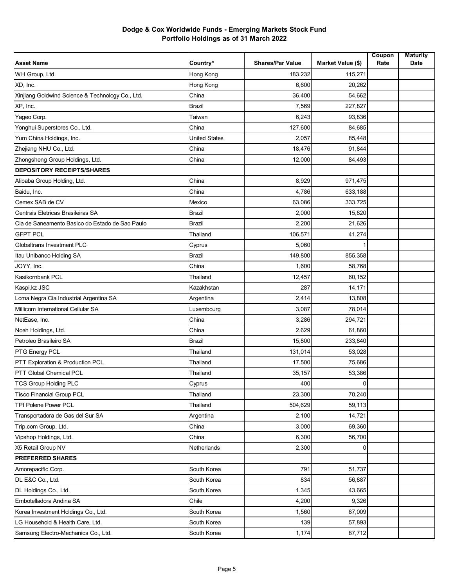| <b>Asset Name</b>                                | Country*             | <b>Shares/Par Value</b> | Market Value (\$) | Coupon<br>Rate | <b>Maturity</b><br>Date |
|--------------------------------------------------|----------------------|-------------------------|-------------------|----------------|-------------------------|
| WH Group, Ltd.                                   | Hong Kong            | 183,232                 | 115,271           |                |                         |
| XD, Inc.                                         | Hong Kong            | 6,600                   | 20,262            |                |                         |
| Xinjiang Goldwind Science & Technology Co., Ltd. | China                | 36,400                  | 54,662            |                |                         |
| XP, Inc.                                         | <b>Brazil</b>        | 7,569                   | 227,827           |                |                         |
| Yageo Corp.                                      | Taiwan               | 6,243                   | 93,836            |                |                         |
| Yonghui Superstores Co., Ltd.                    | China                | 127,600                 | 84,685            |                |                         |
| Yum China Holdings, Inc.                         | <b>United States</b> | 2,057                   | 85,448            |                |                         |
| Zhejiang NHU Co., Ltd.                           | China                | 18,476                  | 91,844            |                |                         |
| Zhongsheng Group Holdings, Ltd.                  | China                | 12,000                  | 84,493            |                |                         |
| <b>DEPOSITORY RECEIPTS/SHARES</b>                |                      |                         |                   |                |                         |
| Alibaba Group Holding, Ltd.                      | China                | 8,929                   | 971,475           |                |                         |
| Baidu, Inc.                                      | China                | 4,786                   | 633,188           |                |                         |
| Cemex SAB de CV                                  | Mexico               | 63,086                  | 333,725           |                |                         |
| Centrais Eletricas Brasileiras SA                | <b>Brazil</b>        | 2,000                   | 15,820            |                |                         |
| Cia de Saneamento Basico do Estado de Sao Paulo  | <b>Brazil</b>        | 2,200                   | 21,626            |                |                         |
| <b>GFPT PCL</b>                                  | Thailand             | 106,571                 | 41,274            |                |                         |
| Globaltrans Investment PLC                       | Cyprus               | 5,060                   |                   |                |                         |
| Itau Unibanco Holding SA                         | Brazil               | 149,800                 | 855,358           |                |                         |
| JOYY, Inc.                                       | China                | 1,600                   | 58,768            |                |                         |
| Kasikornbank PCL                                 | Thailand             | 12,457                  | 60,152            |                |                         |
| Kaspi.kz JSC                                     | Kazakhstan           | 287                     | 14,171            |                |                         |
| Loma Negra Cia Industrial Argentina SA           | Argentina            | 2,414                   | 13,808            |                |                         |
| Millicom International Cellular SA               | Luxembourg           | 3,087                   | 78,014            |                |                         |
| NetEase, Inc.                                    | China                | 3,286                   | 294,721           |                |                         |
| Noah Holdings, Ltd.                              | China                | 2,629                   | 61,860            |                |                         |
| Petroleo Brasileiro SA                           | Brazil               | 15,800                  | 233,840           |                |                         |
| PTG Energy PCL                                   | Thailand             | 131,014                 | 53,028            |                |                         |
| PTT Exploration & Production PCL                 | Thailand             | 17,500                  | 75,686            |                |                         |
| PTT Global Chemical PCL                          | Thailand             | 35,157                  | 53,386            |                |                         |
| <b>TCS Group Holding PLC</b>                     | Cyprus               | 400                     |                   |                |                         |
| <b>Tisco Financial Group PCL</b>                 | Thailand             | 23,300                  | 70,240            |                |                         |
| TPI Polene Power PCL                             | Thailand             | 504,629                 | 59,113            |                |                         |
| Transportadora de Gas del Sur SA                 | Argentina            | 2,100                   | 14,721            |                |                         |
| Trip.com Group, Ltd.                             | China                | 3,000                   | 69,360            |                |                         |
| Vipshop Holdings, Ltd.                           | China                | 6,300                   | 56,700            |                |                         |
| X5 Retail Group NV                               | Netherlands          | 2,300                   | 0                 |                |                         |
| <b>PREFERRED SHARES</b>                          |                      |                         |                   |                |                         |
| Amorepacific Corp.                               | South Korea          | 791                     | 51,737            |                |                         |
| DL E&C Co., Ltd.                                 | South Korea          | 834                     | 56,887            |                |                         |
| DL Holdings Co., Ltd.                            | South Korea          | 1,345                   | 43,665            |                |                         |
| Embotelladora Andina SA                          | Chile                | 4,200                   | 9,326             |                |                         |
| Korea Investment Holdings Co., Ltd.              | South Korea          | 1,560                   | 87,009            |                |                         |
| LG Household & Health Care, Ltd.                 | South Korea          | 139                     | 57,893            |                |                         |
| Samsung Electro-Mechanics Co., Ltd.              | South Korea          | 1,174                   | 87,712            |                |                         |